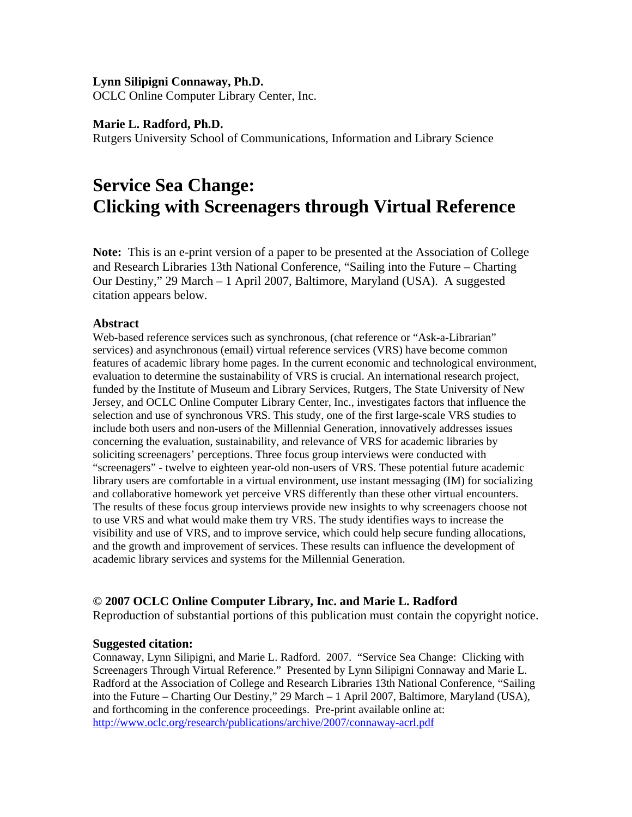## **Lynn Silipigni Connaway, Ph.D.**

OCLC Online Computer Library Center, Inc.

## **Marie L. Radford, Ph.D.**

Rutgers University School of Communications, Information and Library Science

# **Service Sea Change: Clicking with Screenagers through Virtual Reference**

**Note:** This is an e-print version of a paper to be presented at the Association of College and Research Libraries 13th National Conference, "Sailing into the Future – Charting Our Destiny," 29 March – 1 April 2007, Baltimore, Maryland (USA). A suggested citation appears below.

## **Abstract**

Web-based reference services such as synchronous, (chat reference or "Ask-a-Librarian" services) and asynchronous (email) virtual reference services (VRS) have become common features of academic library home pages. In the current economic and technological environment, evaluation to determine the sustainability of VRS is crucial. An international research project, funded by the Institute of Museum and Library Services, Rutgers, The State University of New Jersey, and OCLC Online Computer Library Center, Inc., investigates factors that influence the selection and use of synchronous VRS. This study, one of the first large-scale VRS studies to include both users and non-users of the Millennial Generation, innovatively addresses issues concerning the evaluation, sustainability, and relevance of VRS for academic libraries by soliciting screenagers' perceptions. Three focus group interviews were conducted with "screenagers" - twelve to eighteen year-old non-users of VRS. These potential future academic library users are comfortable in a virtual environment, use instant messaging (IM) for socializing and collaborative homework yet perceive VRS differently than these other virtual encounters. The results of these focus group interviews provide new insights to why screenagers choose not to use VRS and what would make them try VRS. The study identifies ways to increase the visibility and use of VRS, and to improve service, which could help secure funding allocations, and the growth and improvement of services. These results can influence the development of academic library services and systems for the Millennial Generation.

## **© 2007 OCLC Online Computer Library, Inc. and Marie L. Radford**

Reproduction of substantial portions of this publication must contain the copyright notice.

#### **Suggested citation:**

Connaway, Lynn Silipigni, and Marie L. Radford. 2007. "Service Sea Change: Clicking with Screenagers Through Virtual Reference." Presented by Lynn Silipigni Connaway and Marie L. Radford at the Association of College and Research Libraries 13th National Conference, "Sailing into the Future – Charting Our Destiny," 29 March – 1 April 2007, Baltimore, Maryland (USA), and forthcoming in the conference proceedings. Pre-print available online at: <http://www.oclc.org/research/publications/archive/2007/connaway-acrl.pdf>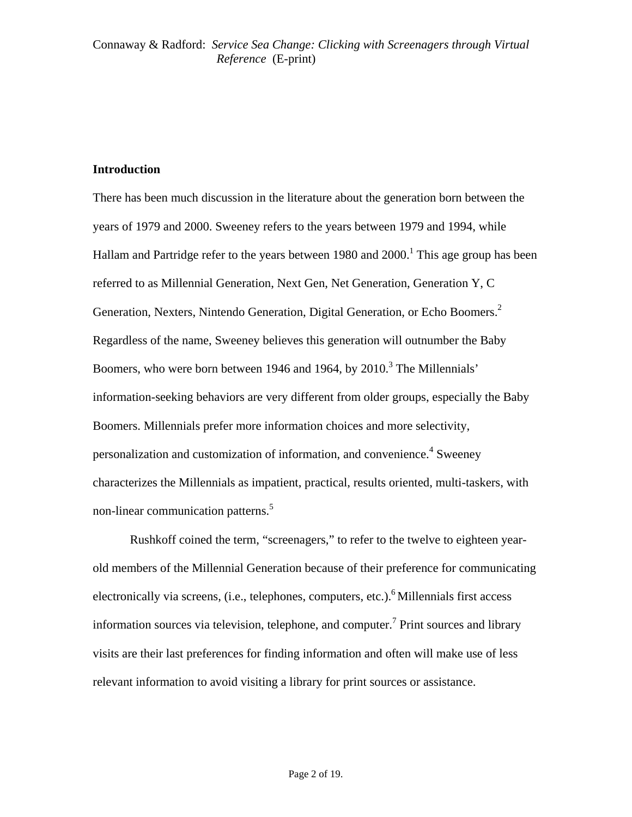## **Introduction**

There has been much discussion in the literature about the generation born between the years of 1979 and 2000. Sweeney refers to the years between 1979 and 1994, while Hallam and Partridge refer to the years between 1980 and 2000.<sup>1</sup> This age group has been referred to as Millennial Generation, Next Gen, Net Generation, Generation Y, C Generation, Nexters, Nintendo Generation, Digital Generation, or Echo Boomers.<sup>2</sup> Regardless of the name, Sweeney believes this generation will outnumber the Baby Boomers, who were born between 1946 and 1964, by 2010.<sup>3</sup> The Millennials' information-seeking behaviors are very different from older groups, especially the Baby Boomers. Millennials prefer more information choices and more selectivity, personalization and customization of information, and convenience.<sup>4</sup> Sweeney characterizes the Millennials as impatient, practical, results oriented, multi-taskers, with non-linear communication patterns.<sup>5</sup>

 Rushkoff coined the term, "screenagers," to refer to the twelve to eighteen yearold members of the Millennial Generation because of their preference for communicating electronically via screens, (i.e., telephones, computers, etc.).<sup>6</sup> Millennials first access information sources via television, telephone, and computer.<sup>7</sup> Print sources and library visits are their last preferences for finding information and often will make use of less relevant information to avoid visiting a library for print sources or assistance.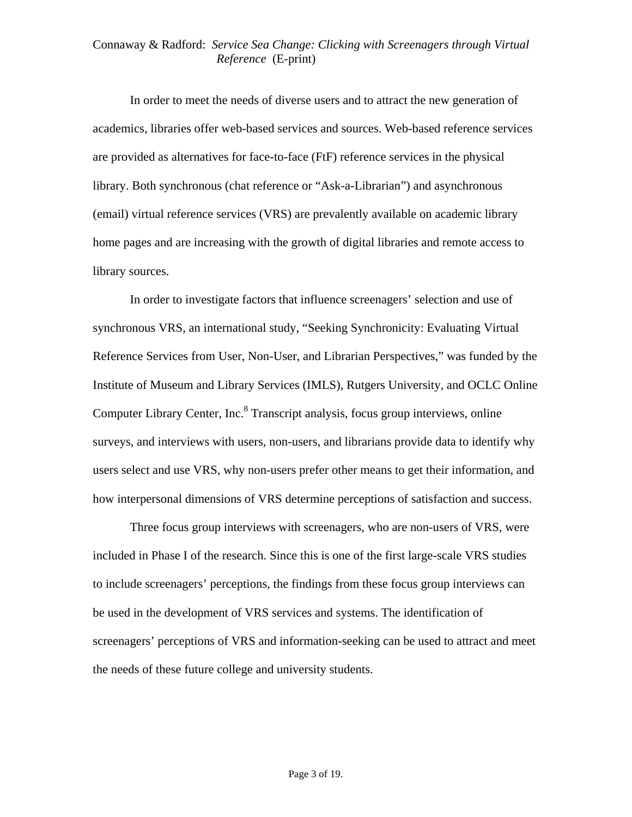In order to meet the needs of diverse users and to attract the new generation of academics, libraries offer web-based services and sources. Web-based reference services are provided as alternatives for face-to-face (FtF) reference services in the physical library. Both synchronous (chat reference or "Ask-a-Librarian") and asynchronous (email) virtual reference services (VRS) are prevalently available on academic library home pages and are increasing with the growth of digital libraries and remote access to library sources.

 In order to investigate factors that influence screenagers' selection and use of synchronous VRS, an international study, "Seeking Synchronicity: Evaluating Virtual Reference Services from User, Non-User, and Librarian Perspectives," was funded by the Institute of Museum and Library Services (IMLS), Rutgers University, and OCLC Online Computer Library Center, Inc.<sup>8</sup> Transcript analysis, focus group interviews, online surveys, and interviews with users, non-users, and librarians provide data to identify why users select and use VRS, why non-users prefer other means to get their information, and how interpersonal dimensions of VRS determine perceptions of satisfaction and success.

 Three focus group interviews with screenagers, who are non-users of VRS, were included in Phase I of the research. Since this is one of the first large-scale VRS studies to include screenagers' perceptions, the findings from these focus group interviews can be used in the development of VRS services and systems. The identification of screenagers' perceptions of VRS and information-seeking can be used to attract and meet the needs of these future college and university students.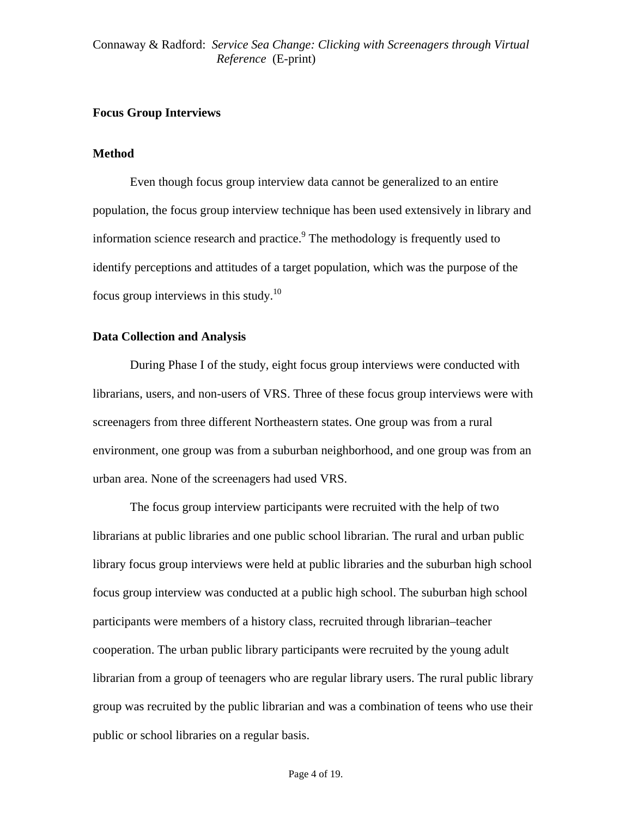# **Focus Group Interviews**

## **Method**

Even though focus group interview data cannot be generalized to an entire population, the focus group interview technique has been used extensively in library and information science research and practice.<sup>9</sup> The methodology is frequently used to identify perceptions and attitudes of a target population, which was the purpose of the focus group interviews in this study.<sup>10</sup>

## **Data Collection and Analysis**

 During Phase I of the study, eight focus group interviews were conducted with librarians, users, and non-users of VRS. Three of these focus group interviews were with screenagers from three different Northeastern states. One group was from a rural environment, one group was from a suburban neighborhood, and one group was from an urban area. None of the screenagers had used VRS.

The focus group interview participants were recruited with the help of two librarians at public libraries and one public school librarian. The rural and urban public library focus group interviews were held at public libraries and the suburban high school focus group interview was conducted at a public high school. The suburban high school participants were members of a history class, recruited through librarian–teacher cooperation. The urban public library participants were recruited by the young adult librarian from a group of teenagers who are regular library users. The rural public library group was recruited by the public librarian and was a combination of teens who use their public or school libraries on a regular basis.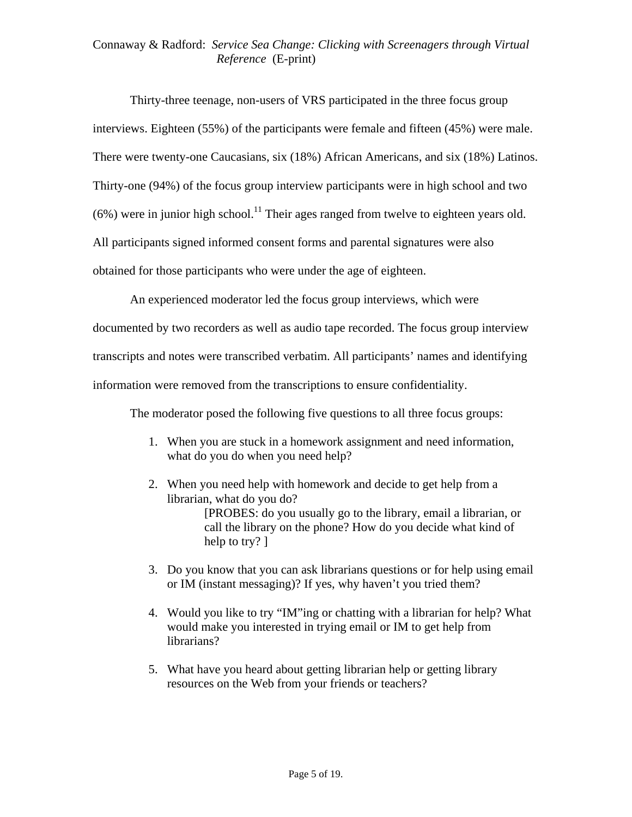Thirty-three teenage, non-users of VRS participated in the three focus group interviews. Eighteen (55%) of the participants were female and fifteen (45%) were male. There were twenty-one Caucasians, six (18%) African Americans, and six (18%) Latinos. Thirty-one (94%) of the focus group interview participants were in high school and two  $(6\%)$  were in junior high school.<sup>11</sup> Their ages ranged from twelve to eighteen years old. All participants signed informed consent forms and parental signatures were also obtained for those participants who were under the age of eighteen.

An experienced moderator led the focus group interviews, which were documented by two recorders as well as audio tape recorded. The focus group interview transcripts and notes were transcribed verbatim. All participants' names and identifying information were removed from the transcriptions to ensure confidentiality.

The moderator posed the following five questions to all three focus groups:

- 1. When you are stuck in a homework assignment and need information, what do you do when you need help?
- 2. When you need help with homework and decide to get help from a librarian, what do you do? [PROBES: do you usually go to the library, email a librarian, or call the library on the phone? How do you decide what kind of help to try? ]
- 3. Do you know that you can ask librarians questions or for help using email or IM (instant messaging)? If yes, why haven't you tried them?
- 4. Would you like to try "IM"ing or chatting with a librarian for help? What would make you interested in trying email or IM to get help from librarians?
- 5. What have you heard about getting librarian help or getting library resources on the Web from your friends or teachers?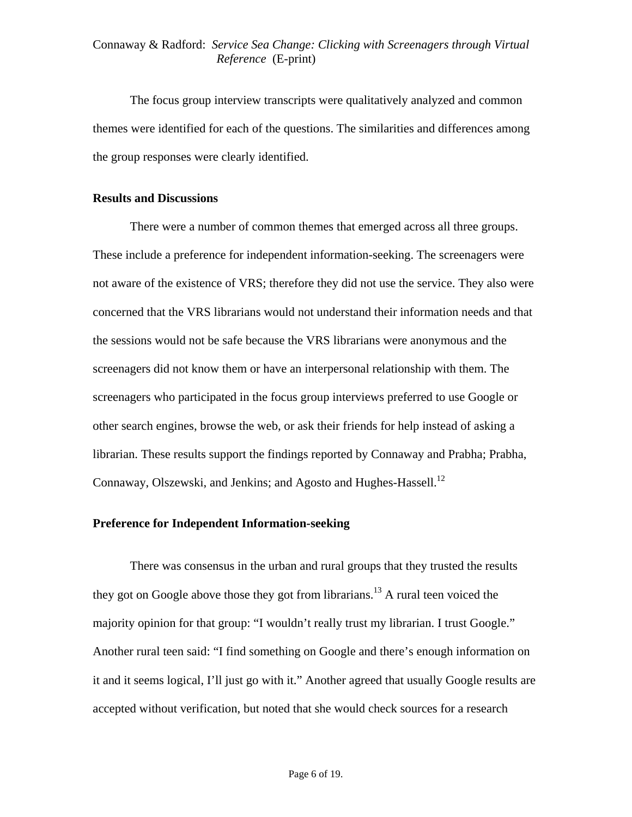The focus group interview transcripts were qualitatively analyzed and common themes were identified for each of the questions. The similarities and differences among the group responses were clearly identified.

#### **Results and Discussions**

There were a number of common themes that emerged across all three groups. These include a preference for independent information-seeking. The screenagers were not aware of the existence of VRS; therefore they did not use the service. They also were concerned that the VRS librarians would not understand their information needs and that the sessions would not be safe because the VRS librarians were anonymous and the screenagers did not know them or have an interpersonal relationship with them. The screenagers who participated in the focus group interviews preferred to use Google or other search engines, browse the web, or ask their friends for help instead of asking a librarian. These results support the findings reported by Connaway and Prabha; Prabha, Connaway, Olszewski, and Jenkins; and Agosto and Hughes-Hassell.<sup>12</sup>

#### **Preference for Independent Information-seeking**

 There was consensus in the urban and rural groups that they trusted the results they got on Google above those they got from librarians.<sup>13</sup> A rural teen voiced the majority opinion for that group: "I wouldn't really trust my librarian. I trust Google." Another rural teen said: "I find something on Google and there's enough information on it and it seems logical, I'll just go with it." Another agreed that usually Google results are accepted without verification, but noted that she would check sources for a research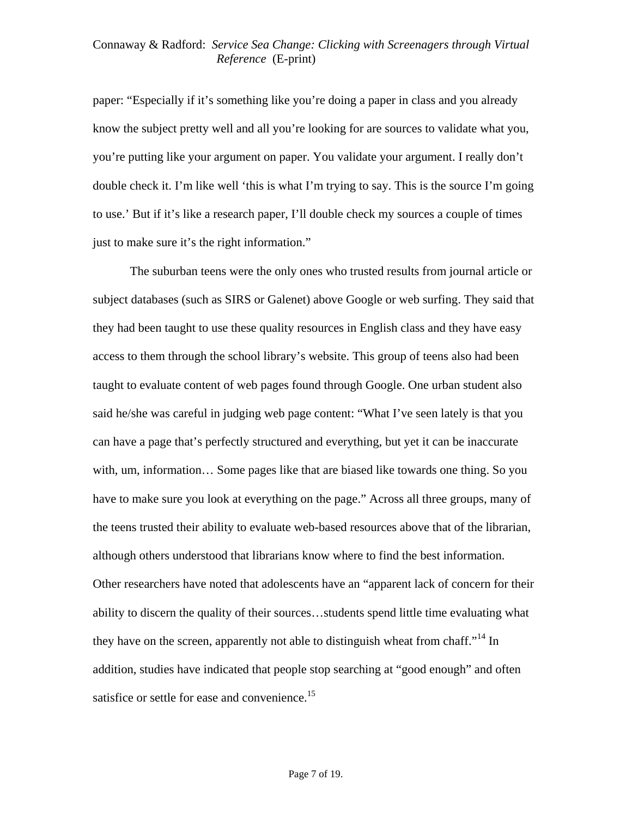paper: "Especially if it's something like you're doing a paper in class and you already know the subject pretty well and all you're looking for are sources to validate what you, you're putting like your argument on paper. You validate your argument. I really don't double check it. I'm like well 'this is what I'm trying to say. This is the source I'm going to use.' But if it's like a research paper, I'll double check my sources a couple of times just to make sure it's the right information."

The suburban teens were the only ones who trusted results from journal article or subject databases (such as SIRS or Galenet) above Google or web surfing. They said that they had been taught to use these quality resources in English class and they have easy access to them through the school library's website. This group of teens also had been taught to evaluate content of web pages found through Google. One urban student also said he/she was careful in judging web page content: "What I've seen lately is that you can have a page that's perfectly structured and everything, but yet it can be inaccurate with, um, information... Some pages like that are biased like towards one thing. So you have to make sure you look at everything on the page." Across all three groups, many of the teens trusted their ability to evaluate web-based resources above that of the librarian, although others understood that librarians know where to find the best information. Other researchers have noted that adolescents have an "apparent lack of concern for their ability to discern the quality of their sources…students spend little time evaluating what they have on the screen, apparently not able to distinguish wheat from chaff.<sup> $14$ </sup> In addition, studies have indicated that people stop searching at "good enough" and often satisfice or settle for ease and convenience.<sup>15</sup>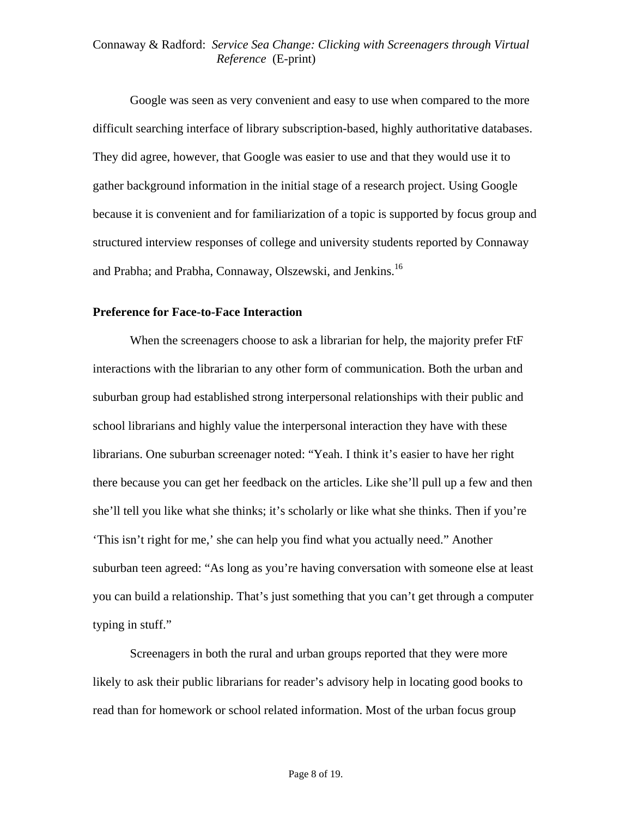Google was seen as very convenient and easy to use when compared to the more difficult searching interface of library subscription-based, highly authoritative databases. They did agree, however, that Google was easier to use and that they would use it to gather background information in the initial stage of a research project. Using Google because it is convenient and for familiarization of a topic is supported by focus group and structured interview responses of college and university students reported by Connaway and Prabha; and Prabha, Connaway, Olszewski, and Jenkins.<sup>16</sup>

#### **Preference for Face-to-Face Interaction**

When the screenagers choose to ask a librarian for help, the majority prefer FtF interactions with the librarian to any other form of communication. Both the urban and suburban group had established strong interpersonal relationships with their public and school librarians and highly value the interpersonal interaction they have with these librarians. One suburban screenager noted: "Yeah. I think it's easier to have her right there because you can get her feedback on the articles. Like she'll pull up a few and then she'll tell you like what she thinks; it's scholarly or like what she thinks. Then if you're 'This isn't right for me,' she can help you find what you actually need." Another suburban teen agreed: "As long as you're having conversation with someone else at least you can build a relationship. That's just something that you can't get through a computer typing in stuff."

Screenagers in both the rural and urban groups reported that they were more likely to ask their public librarians for reader's advisory help in locating good books to read than for homework or school related information. Most of the urban focus group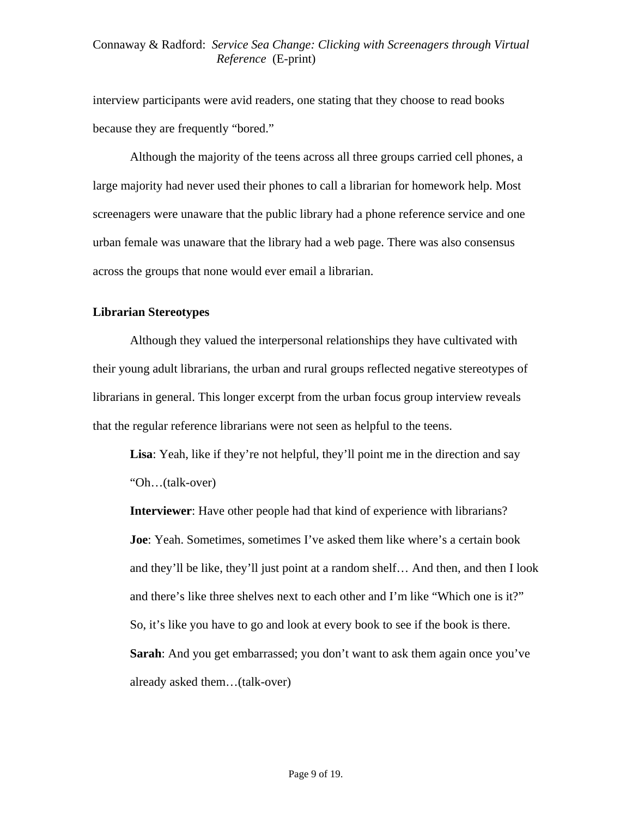interview participants were avid readers, one stating that they choose to read books because they are frequently "bored."

Although the majority of the teens across all three groups carried cell phones, a large majority had never used their phones to call a librarian for homework help. Most screenagers were unaware that the public library had a phone reference service and one urban female was unaware that the library had a web page. There was also consensus across the groups that none would ever email a librarian.

## **Librarian Stereotypes**

Although they valued the interpersonal relationships they have cultivated with their young adult librarians, the urban and rural groups reflected negative stereotypes of librarians in general. This longer excerpt from the urban focus group interview reveals that the regular reference librarians were not seen as helpful to the teens.

**Lisa**: Yeah, like if they're not helpful, they'll point me in the direction and say "Oh…(talk-over)

**Interviewer**: Have other people had that kind of experience with librarians? **Joe**: Yeah. Sometimes, sometimes I've asked them like where's a certain book and they'll be like, they'll just point at a random shelf… And then, and then I look and there's like three shelves next to each other and I'm like "Which one is it?" So, it's like you have to go and look at every book to see if the book is there. **Sarah**: And you get embarrassed; you don't want to ask them again once you've already asked them…(talk-over)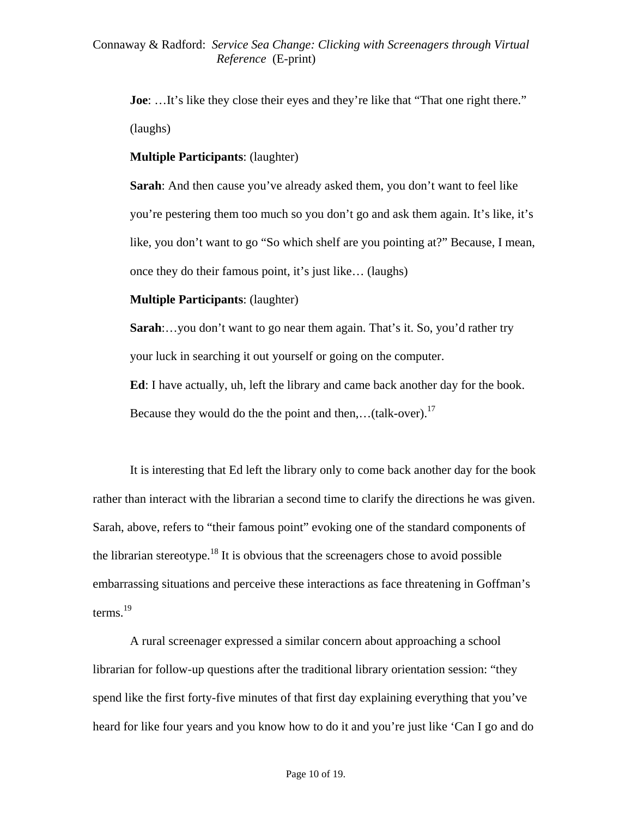**Joe**: ...It's like they close their eyes and they're like that "That one right there." (laughs)

**Multiple Participants**: (laughter)

**Sarah**: And then cause you've already asked them, you don't want to feel like you're pestering them too much so you don't go and ask them again. It's like, it's like, you don't want to go "So which shelf are you pointing at?" Because, I mean, once they do their famous point, it's just like… (laughs)

**Multiple Participants**: (laughter)

**Sarah**:…you don't want to go near them again. That's it. So, you'd rather try your luck in searching it out yourself or going on the computer.

**Ed**: I have actually, uh, left the library and came back another day for the book. Because they would do the the point and then,... $(talk-over)$ .<sup>17</sup>

It is interesting that Ed left the library only to come back another day for the book rather than interact with the librarian a second time to clarify the directions he was given. Sarah, above, refers to "their famous point" evoking one of the standard components of the librarian stereotype.<sup>18</sup> It is obvious that the screenagers chose to avoid possible embarrassing situations and perceive these interactions as face threatening in Goffman's terms. $^{19}$ 

A rural screenager expressed a similar concern about approaching a school librarian for follow-up questions after the traditional library orientation session: "they spend like the first forty-five minutes of that first day explaining everything that you've heard for like four years and you know how to do it and you're just like 'Can I go and do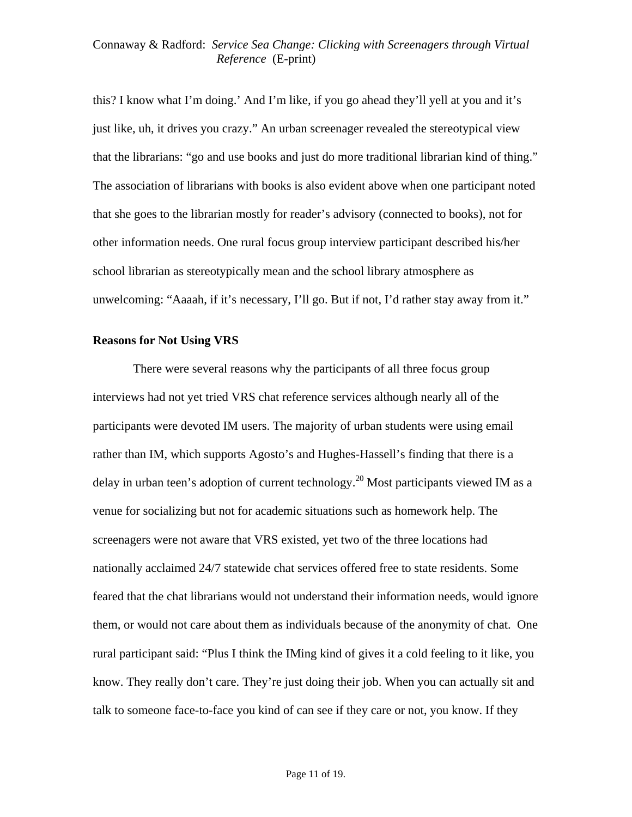this? I know what I'm doing.' And I'm like, if you go ahead they'll yell at you and it's just like, uh, it drives you crazy." An urban screenager revealed the stereotypical view that the librarians: "go and use books and just do more traditional librarian kind of thing." The association of librarians with books is also evident above when one participant noted that she goes to the librarian mostly for reader's advisory (connected to books), not for other information needs. One rural focus group interview participant described his/her school librarian as stereotypically mean and the school library atmosphere as unwelcoming: "Aaaah, if it's necessary, I'll go. But if not, I'd rather stay away from it."

#### **Reasons for Not Using VRS**

 There were several reasons why the participants of all three focus group interviews had not yet tried VRS chat reference services although nearly all of the participants were devoted IM users. The majority of urban students were using email rather than IM, which supports Agosto's and Hughes-Hassell's finding that there is a delay in urban teen's adoption of current technology.<sup>20</sup> Most participants viewed IM as a venue for socializing but not for academic situations such as homework help. The screenagers were not aware that VRS existed, yet two of the three locations had nationally acclaimed 24/7 statewide chat services offered free to state residents. Some feared that the chat librarians would not understand their information needs, would ignore them, or would not care about them as individuals because of the anonymity of chat. One rural participant said: "Plus I think the IMing kind of gives it a cold feeling to it like, you know. They really don't care. They're just doing their job. When you can actually sit and talk to someone face-to-face you kind of can see if they care or not, you know. If they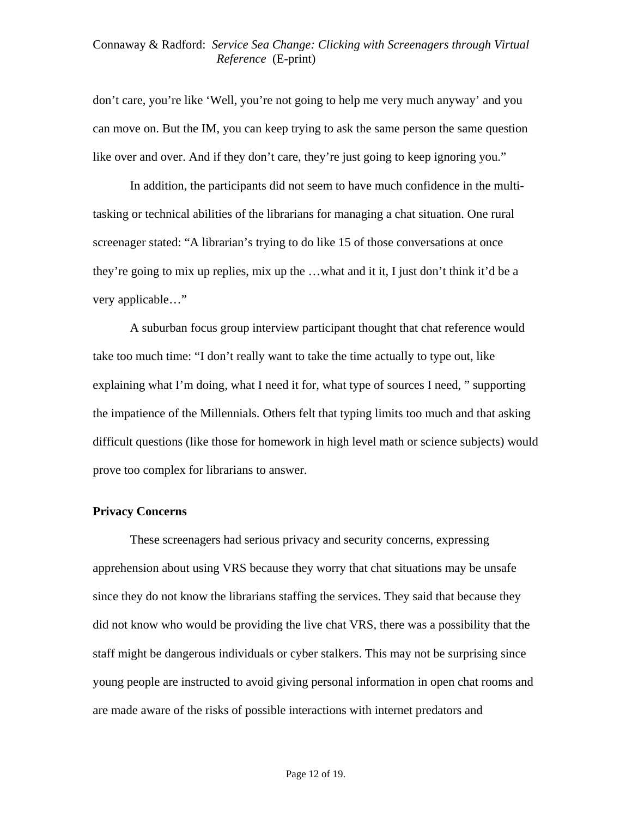don't care, you're like 'Well, you're not going to help me very much anyway' and you can move on. But the IM, you can keep trying to ask the same person the same question like over and over. And if they don't care, they're just going to keep ignoring you."

In addition, the participants did not seem to have much confidence in the multitasking or technical abilities of the librarians for managing a chat situation. One rural screenager stated: "A librarian's trying to do like 15 of those conversations at once they're going to mix up replies, mix up the …what and it it, I just don't think it'd be a very applicable…"

 A suburban focus group interview participant thought that chat reference would take too much time: "I don't really want to take the time actually to type out, like explaining what I'm doing, what I need it for, what type of sources I need, " supporting the impatience of the Millennials. Others felt that typing limits too much and that asking difficult questions (like those for homework in high level math or science subjects) would prove too complex for librarians to answer.

## **Privacy Concerns**

These screenagers had serious privacy and security concerns, expressing apprehension about using VRS because they worry that chat situations may be unsafe since they do not know the librarians staffing the services. They said that because they did not know who would be providing the live chat VRS, there was a possibility that the staff might be dangerous individuals or cyber stalkers. This may not be surprising since young people are instructed to avoid giving personal information in open chat rooms and are made aware of the risks of possible interactions with internet predators and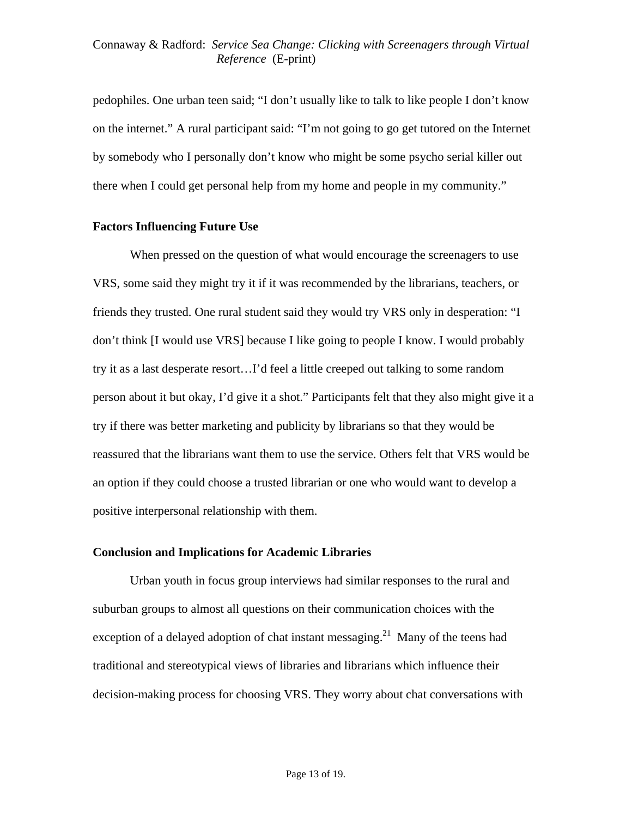pedophiles. One urban teen said; "I don't usually like to talk to like people I don't know on the internet." A rural participant said: "I'm not going to go get tutored on the Internet by somebody who I personally don't know who might be some psycho serial killer out there when I could get personal help from my home and people in my community."

## **Factors Influencing Future Use**

 When pressed on the question of what would encourage the screenagers to use VRS, some said they might try it if it was recommended by the librarians, teachers, or friends they trusted. One rural student said they would try VRS only in desperation: "I don't think [I would use VRS] because I like going to people I know. I would probably try it as a last desperate resort…I'd feel a little creeped out talking to some random person about it but okay, I'd give it a shot." Participants felt that they also might give it a try if there was better marketing and publicity by librarians so that they would be reassured that the librarians want them to use the service. Others felt that VRS would be an option if they could choose a trusted librarian or one who would want to develop a positive interpersonal relationship with them.

# **Conclusion and Implications for Academic Libraries**

 Urban youth in focus group interviews had similar responses to the rural and suburban groups to almost all questions on their communication choices with the exception of a delayed adoption of chat instant messaging.<sup>21</sup> Many of the teens had traditional and stereotypical views of libraries and librarians which influence their decision-making process for choosing VRS. They worry about chat conversations with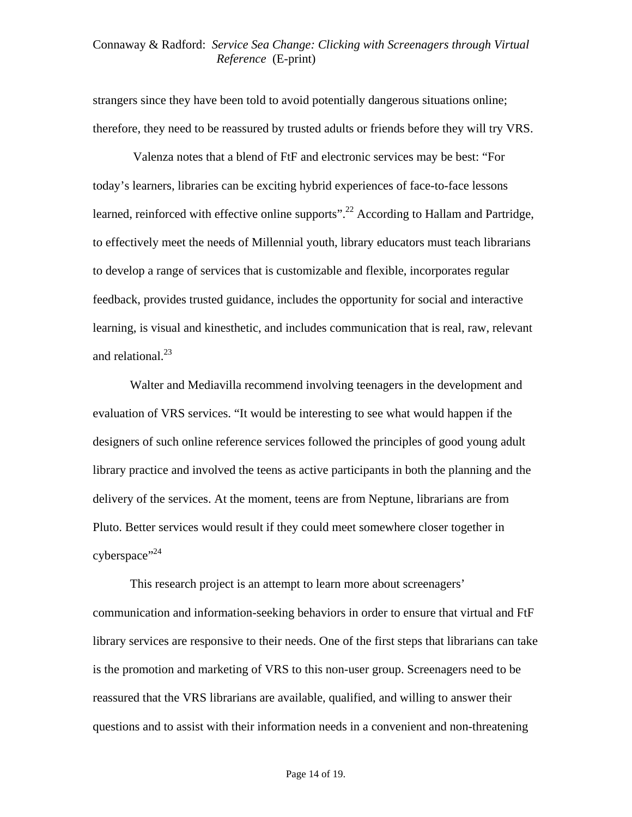strangers since they have been told to avoid potentially dangerous situations online; therefore, they need to be reassured by trusted adults or friends before they will try VRS.

 Valenza notes that a blend of FtF and electronic services may be best: "For today's learners, libraries can be exciting hybrid experiences of face-to-face lessons learned, reinforced with effective online supports".<sup>22</sup> According to Hallam and Partridge, to effectively meet the needs of Millennial youth, library educators must teach librarians to develop a range of services that is customizable and flexible, incorporates regular feedback, provides trusted guidance, includes the opportunity for social and interactive learning, is visual and kinesthetic, and includes communication that is real, raw, relevant and relational. $^{23}$ 

 Walter and Mediavilla recommend involving teenagers in the development and evaluation of VRS services. "It would be interesting to see what would happen if the designers of such online reference services followed the principles of good young adult library practice and involved the teens as active participants in both the planning and the delivery of the services. At the moment, teens are from Neptune, librarians are from Pluto. Better services would result if they could meet somewhere closer together in  $c<sub>24</sub>$ 

 This research project is an attempt to learn more about screenagers' communication and information-seeking behaviors in order to ensure that virtual and FtF library services are responsive to their needs. One of the first steps that librarians can take is the promotion and marketing of VRS to this non-user group. Screenagers need to be reassured that the VRS librarians are available, qualified, and willing to answer their questions and to assist with their information needs in a convenient and non-threatening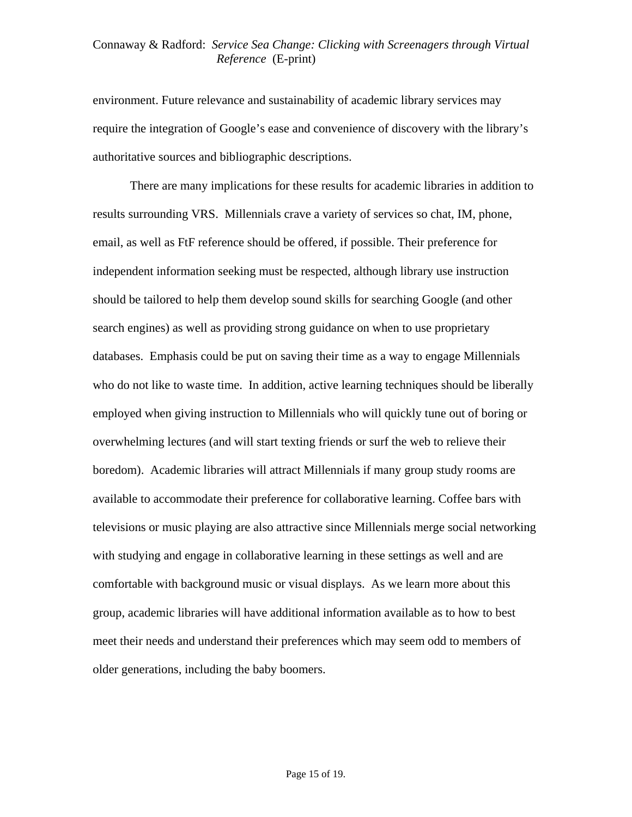environment. Future relevance and sustainability of academic library services may require the integration of Google's ease and convenience of discovery with the library's authoritative sources and bibliographic descriptions.

 There are many implications for these results for academic libraries in addition to results surrounding VRS. Millennials crave a variety of services so chat, IM, phone, email, as well as FtF reference should be offered, if possible. Their preference for independent information seeking must be respected, although library use instruction should be tailored to help them develop sound skills for searching Google (and other search engines) as well as providing strong guidance on when to use proprietary databases. Emphasis could be put on saving their time as a way to engage Millennials who do not like to waste time. In addition, active learning techniques should be liberally employed when giving instruction to Millennials who will quickly tune out of boring or overwhelming lectures (and will start texting friends or surf the web to relieve their boredom). Academic libraries will attract Millennials if many group study rooms are available to accommodate their preference for collaborative learning. Coffee bars with televisions or music playing are also attractive since Millennials merge social networking with studying and engage in collaborative learning in these settings as well and are comfortable with background music or visual displays. As we learn more about this group, academic libraries will have additional information available as to how to best meet their needs and understand their preferences which may seem odd to members of older generations, including the baby boomers.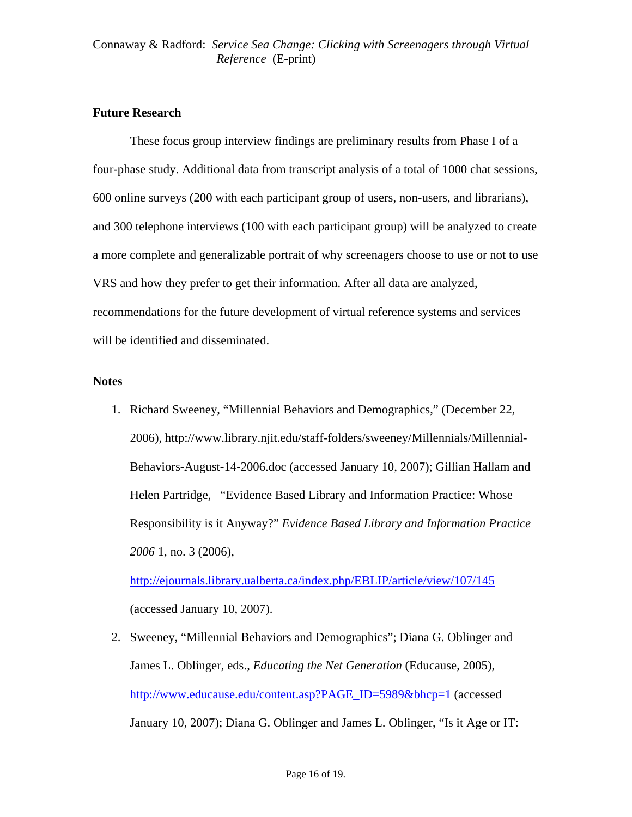# **Future Research**

 These focus group interview findings are preliminary results from Phase I of a four-phase study. Additional data from transcript analysis of a total of 1000 chat sessions, 600 online surveys (200 with each participant group of users, non-users, and librarians), and 300 telephone interviews (100 with each participant group) will be analyzed to create a more complete and generalizable portrait of why screenagers choose to use or not to use VRS and how they prefer to get their information. After all data are analyzed, recommendations for the future development of virtual reference systems and services will be identified and disseminated.

## **Notes**

1. Richard Sweeney, "Millennial Behaviors and Demographics," (December 22, 2006), http://www.library.njit.edu/staff-folders/sweeney/Millennials/Millennial-Behaviors-August-14-2006.doc (accessed January 10, 2007); Gillian Hallam and Helen Partridge, "Evidence Based Library and Information Practice: Whose Responsibility is it Anyway?" *Evidence Based Library and Information Practice 2006* 1, no. 3 (2006),

<http://ejournals.library.ualberta.ca/index.php/EBLIP/article/view/107/145> (accessed January 10, 2007).

2. Sweeney, "Millennial Behaviors and Demographics"; Diana G. Oblinger and James L. Oblinger, eds., *Educating the Net Generation* (Educause, 2005), [http://www.educause.edu/content.asp?PAGE\\_ID=5989&bhcp=1](http://www.educause.edu/content.asp?PAGE_ID=5989&bhcp=1) (accessed January 10, 2007); Diana G. Oblinger and James L. Oblinger, "Is it Age or IT: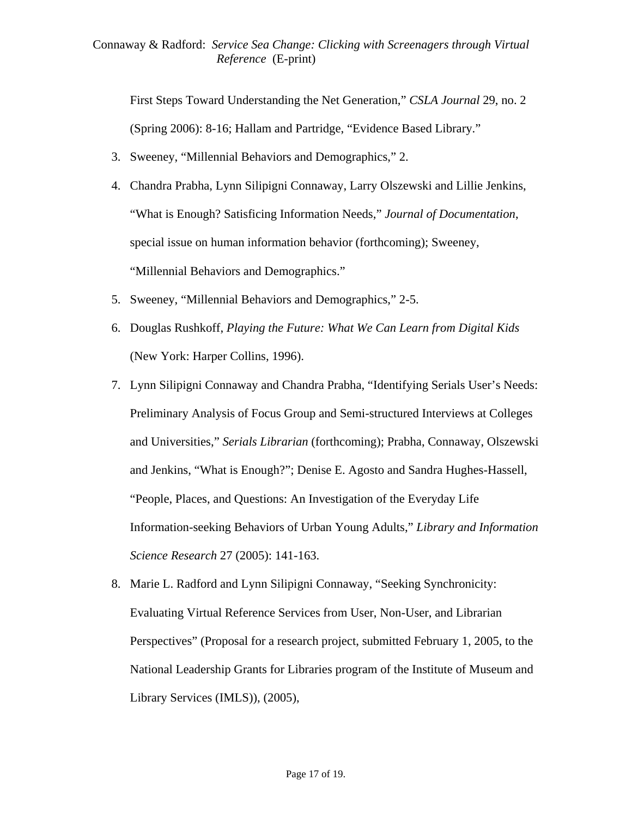First Steps Toward Understanding the Net Generation," *CSLA Journal* 29, no. 2 (Spring 2006): 8-16; Hallam and Partridge, "Evidence Based Library."

- 3. Sweeney, "Millennial Behaviors and Demographics," 2.
- 4. Chandra Prabha, Lynn Silipigni Connaway, Larry Olszewski and Lillie Jenkins, "What is Enough? Satisficing Information Needs," *Journal of Documentation*, special issue on human information behavior (forthcoming); Sweeney, "Millennial Behaviors and Demographics."
- 5. Sweeney, "Millennial Behaviors and Demographics," 2-5.
- 6. Douglas Rushkoff, *Playing the Future: What We Can Learn from Digital Kids* (New York: Harper Collins, 1996).
- 7. Lynn Silipigni Connaway and Chandra Prabha, "Identifying Serials User's Needs: Preliminary Analysis of Focus Group and Semi-structured Interviews at Colleges and Universities," *Serials Librarian* (forthcoming); Prabha, Connaway, Olszewski and Jenkins, "What is Enough?"; Denise E. Agosto and Sandra Hughes-Hassell, "People, Places, and Questions: An Investigation of the Everyday Life Information-seeking Behaviors of Urban Young Adults," *Library and Information Science Research* 27 (2005): 141-163.
- 8. Marie L. Radford and Lynn Silipigni Connaway, "Seeking Synchronicity: Evaluating Virtual Reference Services from User, Non-User, and Librarian Perspectives" (Proposal for a research project, submitted February 1, 2005, to the National Leadership Grants for Libraries program of the Institute of Museum and Library Services (IMLS)), (2005),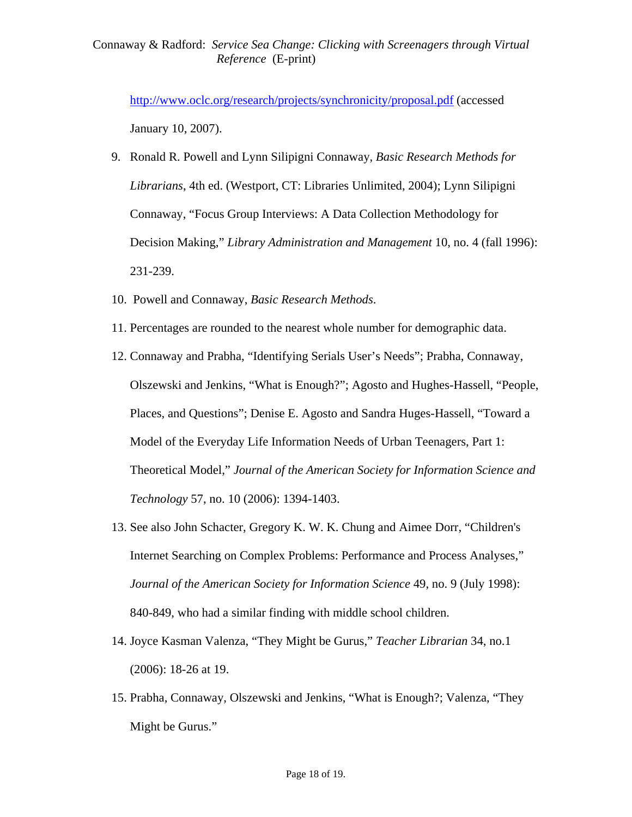<http://www.oclc.org/research/projects/synchronicity/proposal.pdf>(accessed January 10, 2007).

- 9. Ronald R. Powell and Lynn Silipigni Connaway, *Basic Research Methods for Librarians*, 4th ed. (Westport, CT: Libraries Unlimited, 2004); Lynn Silipigni Connaway, "Focus Group Interviews: A Data Collection Methodology for Decision Making," *Library Administration and Management* 10, no. 4 (fall 1996): 231-239.
- 10. Powell and Connaway, *Basic Research Methods*.
- 11. Percentages are rounded to the nearest whole number for demographic data.
- 12. Connaway and Prabha, "Identifying Serials User's Needs"; Prabha, Connaway, Olszewski and Jenkins, "What is Enough?"; Agosto and Hughes-Hassell, "People, Places, and Questions"; Denise E. Agosto and Sandra Huges-Hassell, "Toward a Model of the Everyday Life Information Needs of Urban Teenagers, Part 1: Theoretical Model," *Journal of the American Society for Information Science and Technology* 57, no. 10 (2006): 1394-1403.
- 13. See also John Schacter, Gregory K. W. K. Chung and Aimee Dorr, "Children's Internet Searching on Complex Problems: Performance and Process Analyses," *Journal of the American Society for Information Science* 49, no. 9 (July 1998): 840-849, who had a similar finding with middle school children.
- 14. Joyce Kasman Valenza, "They Might be Gurus," *Teacher Librarian* 34, no.1 (2006): 18-26 at 19.
- 15. Prabha, Connaway, Olszewski and Jenkins, "What is Enough?; Valenza, "They Might be Gurus."